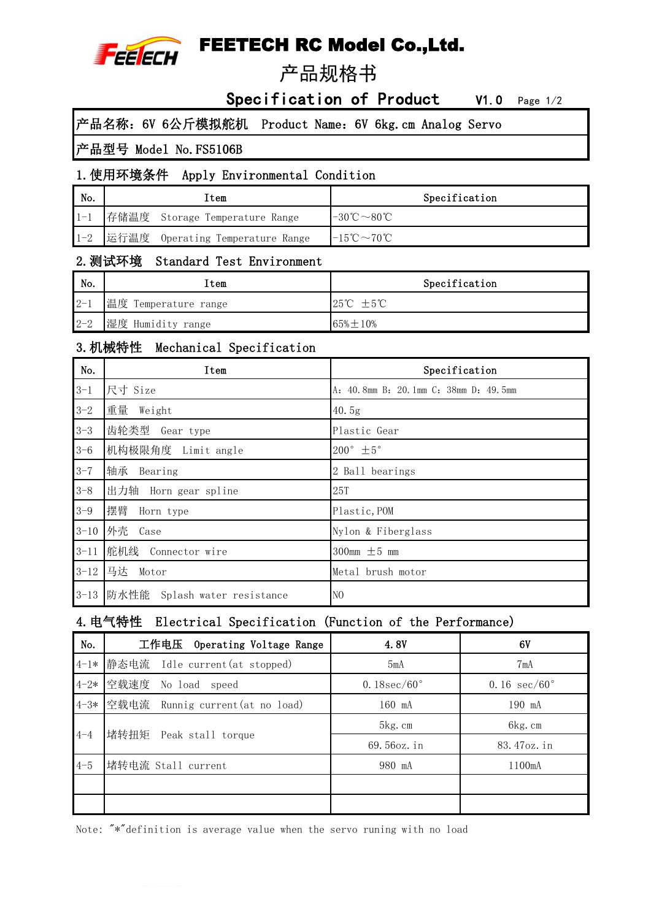

# FEETECH RC Model Co.,Ltd.

# 产品规格书

Specification of Product V1.0 Page 1/2

产品名称:6V 6公斤模拟舵机 Product Name:6V 6kg.cm Analog Servo

#### 产品型号 Model No.FS5106B

#### 1.使用环境条件 Apply Environmental Condition

| No.     | Item                             | Specification                                 |
|---------|----------------------------------|-----------------------------------------------|
| $1 - 1$ | 存储温度 Storage Temperature Range   | $-30^{\circ}\text{C} \sim 80^{\circ}\text{C}$ |
| $1 - 2$ | 运行温度 Operating Temperature Range | $-15^{\circ}\text{C} \sim 70^{\circ}\text{C}$ |

#### 2.测试环境 Standard Test Environment

| $\mathsf{No}.$ | item                 | Specification                |
|----------------|----------------------|------------------------------|
| $2 - 1$        | 温度 Temperature range | $25^{\circ}C \pm 5^{\circ}C$ |
| $2 - 2$        | 湿度 Humidity range    | $65\% + 10\%$                |

#### 3.机械特性 Mechanical Specification

| No.      | Item                              | Specification                         |
|----------|-----------------------------------|---------------------------------------|
| $3 - 1$  | 尺寸 Size                           | A: 40.8mm B: 20.1mm C: 38mm D: 49.5mm |
| $3 - 2$  | 重量<br>Weight                      | 40.5g                                 |
| $3 - 3$  | 齿轮类型<br>Gear type                 | Plastic Gear                          |
| $3 - 6$  | 机构极限角度 Limit angle                | $200^\circ \pm 5^\circ$               |
| $3 - 7$  | 轴承<br>Bearing                     | 2 Ball bearings                       |
| $3 - 8$  | 出力轴 Horn gear spline              | 25T                                   |
| $3 - 9$  | 摆臂<br>Horn type                   | Plastic, POM                          |
| $3 - 10$ | 外壳<br>Case                        | Nylon & Fiberglass                    |
| $3 - 11$ | 舵机线 Connector wire                | 300mm $\pm$ 5 mm                      |
| $3 - 12$ | 马达<br>Motor                       | Metal brush motor                     |
|          | 3-13 防水性能 Splash water resistance | N <sub>0</sub>                        |

#### 4.电气特性 Electrical Specification (Function of the Performance)

| No.     | 工作电压 Operating Voltage Range         | 4.8V           | 6V                  |
|---------|--------------------------------------|----------------|---------------------|
|         | 4-1* 静态电流 Idle current(at stopped)   | 5mA            | 7mA                 |
|         | 4-2* 空载速度 No load speed              | 0.18 $sec/60°$ | 0.16 $sec/60^\circ$ |
|         | 4-3* 空载电流 Runnig current(at no load) | 160 mA         | 190 mA              |
|         | 堵转扭矩 Peak stall torque               | 5kg.cm         | 6kg.cm              |
| 4–4     |                                      | 69.56oz.in     | 83.47oz.in          |
| $4 - 5$ | 堵转电流 Stall current                   | 980 mA         | 1100mA              |
|         |                                      |                |                     |
|         |                                      |                |                     |

Note: "\*"definition is average value when the servo runing with no load